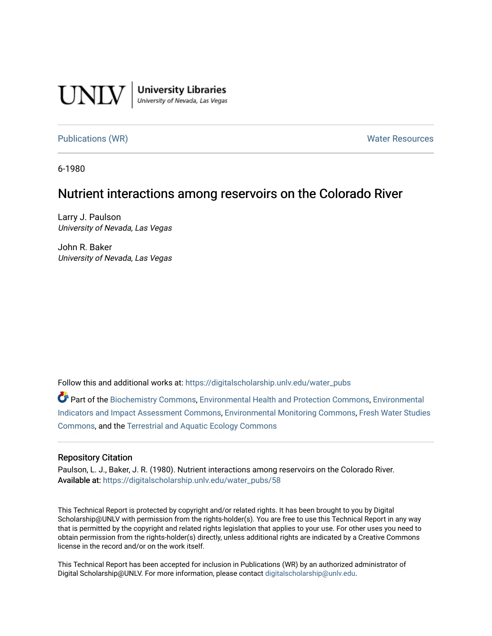

**University Libraries**<br>University of Nevada, Las Vegas

[Publications \(WR\)](https://digitalscholarship.unlv.edu/water_pubs) Notifiable Resources and Mater Resources and Mater Resources

6-1980

### Nutrient interactions among reservoirs on the Colorado River

Larry J. Paulson University of Nevada, Las Vegas

John R. Baker University of Nevada, Las Vegas

Follow this and additional works at: [https://digitalscholarship.unlv.edu/water\\_pubs](https://digitalscholarship.unlv.edu/water_pubs?utm_source=digitalscholarship.unlv.edu%2Fwater_pubs%2F58&utm_medium=PDF&utm_campaign=PDFCoverPages) 

Part of the [Biochemistry Commons](http://network.bepress.com/hgg/discipline/2?utm_source=digitalscholarship.unlv.edu%2Fwater_pubs%2F58&utm_medium=PDF&utm_campaign=PDFCoverPages), [Environmental Health and Protection Commons,](http://network.bepress.com/hgg/discipline/172?utm_source=digitalscholarship.unlv.edu%2Fwater_pubs%2F58&utm_medium=PDF&utm_campaign=PDFCoverPages) [Environmental](http://network.bepress.com/hgg/discipline/1015?utm_source=digitalscholarship.unlv.edu%2Fwater_pubs%2F58&utm_medium=PDF&utm_campaign=PDFCoverPages)  [Indicators and Impact Assessment Commons](http://network.bepress.com/hgg/discipline/1015?utm_source=digitalscholarship.unlv.edu%2Fwater_pubs%2F58&utm_medium=PDF&utm_campaign=PDFCoverPages), [Environmental Monitoring Commons,](http://network.bepress.com/hgg/discipline/931?utm_source=digitalscholarship.unlv.edu%2Fwater_pubs%2F58&utm_medium=PDF&utm_campaign=PDFCoverPages) [Fresh Water Studies](http://network.bepress.com/hgg/discipline/189?utm_source=digitalscholarship.unlv.edu%2Fwater_pubs%2F58&utm_medium=PDF&utm_campaign=PDFCoverPages) [Commons](http://network.bepress.com/hgg/discipline/189?utm_source=digitalscholarship.unlv.edu%2Fwater_pubs%2F58&utm_medium=PDF&utm_campaign=PDFCoverPages), and the [Terrestrial and Aquatic Ecology Commons](http://network.bepress.com/hgg/discipline/20?utm_source=digitalscholarship.unlv.edu%2Fwater_pubs%2F58&utm_medium=PDF&utm_campaign=PDFCoverPages) 

#### Repository Citation

Paulson, L. J., Baker, J. R. (1980). Nutrient interactions among reservoirs on the Colorado River. Available at: [https://digitalscholarship.unlv.edu/water\\_pubs/58](https://digitalscholarship.unlv.edu/water_pubs/58) 

This Technical Report is protected by copyright and/or related rights. It has been brought to you by Digital Scholarship@UNLV with permission from the rights-holder(s). You are free to use this Technical Report in any way that is permitted by the copyright and related rights legislation that applies to your use. For other uses you need to obtain permission from the rights-holder(s) directly, unless additional rights are indicated by a Creative Commons license in the record and/or on the work itself.

This Technical Report has been accepted for inclusion in Publications (WR) by an authorized administrator of Digital Scholarship@UNLV. For more information, please contact [digitalscholarship@unlv.edu](mailto:digitalscholarship@unlv.edu).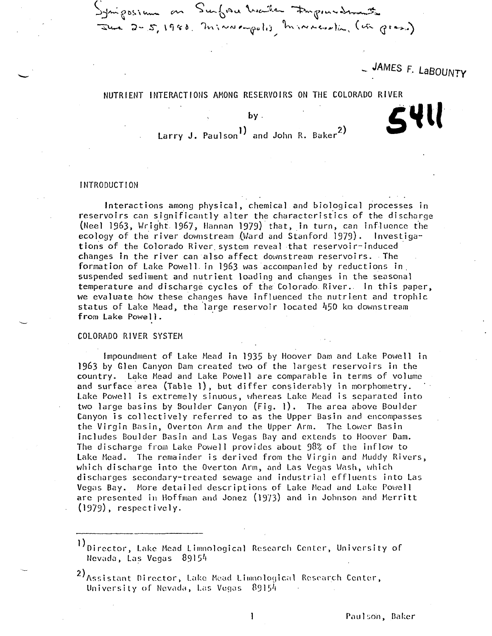- JAMES F. LaBOUNTY

## NUTRIENT INTERACTIONS AMONG RESERVOIRS ON THE COLORADO RIVER 5 VH

**b y .**

**\_>-JA~l O B«. \^ &\*\*~ S w^. 1 »=V c\*. V-JC^-'k-W ""^X- fa i IA v. Vw-\*^.^.**  $\overline{x}$  2 - 5, 1980. m; vu empolis m; reversion (u

Larry J. Paulson<sup>1</sup>) and John R. Baker<sup>2</sup>)

#### INTRODUCTION

Interactions among physical, chemical and biological processes in reservoirs can significantly alter the characteristics of the discharge (Neel 1963, Wright 1967, Hannan 1979) that, in turn, can influence the ecology of the river downstream (Ward and Stanford 1979). Investigations of the Colorado River, system reveal that reservoir-induced changes in the river can also affect downstream reservoirs. The formation of Lake Powell in 1963 was accompanied by reductions in. suspended sediment and nutrient loading and changes in the seasonal temperature and discharge cycles of the Colorado. River.. In this paper, we evaluate how these changes have influenced the nutrient and trophic status of Lake Mead, the large reservoir located 450 km downstream from Lake Powel1.

#### COLORADO RIVER SYSTEM

Impoundment of Lake Mead in 1935 by Hoover Dam and Lake Powell in 19&3 by Glen Canyon Dam created two of the largest reservoirs in the country. Lake Mead and Lake Powell are comparable in terms of volume and surface area (Table 1), but differ considerably in morphometry. Lake Powell is extremely sinuous, whereas Lake Mead is separated into two large basins by Boulder Canyon (Fig. l). The area above Boulder Canyon is collectively referred to as the Upper Basin and encompasses the Virgin Basin, Overton Arm and the Upper Arm. The Lower Basin includes Boulder Basin and Las Vegas Bay and extends to Hoover Dam. The discharge from Lake Powell provides about 98% of the inflow to Lake Mead. The remainder is derived from the Virgin and Muddy Rivers, which discharge into the Overton Ann, and Las Vegas Wash, which discharges secondary-treated sewage and industrial effluents into Las Vegas Bay. More detailed descriptions of Lake Mead and Lake Powell are presented in Hoffman and Jonez (19/3) and in Johnson and Herritt  $(1979)$ , respectively.

Director, Lake Mead Limnological Research Center, University of Nevada, Las Vegas 89154

<sup>2)&</sup>lt;br>Assistant Director, Lake Mead Limnological Research Center, University of Nevada, Las Vegas  $89154$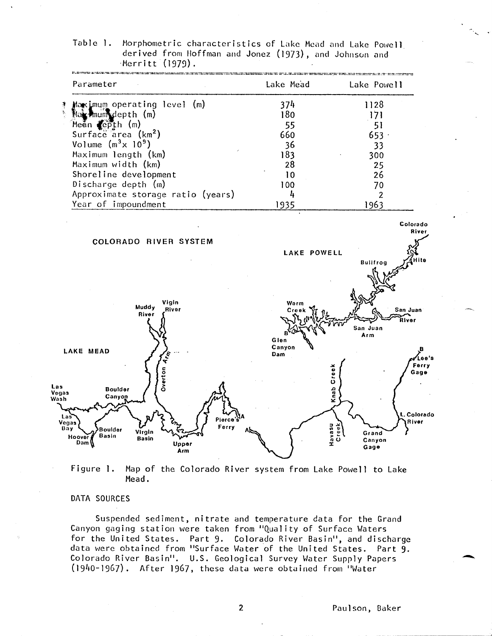| Table 1. Morphometric characteristics of Lake Mead and Lake Powell |  |  |  |
|--------------------------------------------------------------------|--|--|--|
| derived from Hoffman and Jonez (1973), and Johnson and             |  |  |  |
| $\cdot$ Merritt (1979).                                            |  |  |  |

| Lake Mead          | Lake Powell                          |
|--------------------|--------------------------------------|
| 374                | 1128                                 |
| 180                | 171                                  |
|                    | 51                                   |
| 660                | 653.                                 |
| 36                 | 33                                   |
|                    | 300                                  |
| 28                 | 25                                   |
| 10                 | 26                                   |
| 100                | 70                                   |
| 4                  | $\overline{2}$                       |
|                    | 1963                                 |
| <b>LAKE POWELL</b> | <b>Bullfrog</b>                      |
|                    |                                      |
|                    | San Juan<br>River<br>San Juan<br>Arm |
| Canyon<br>Dam      |                                      |
|                    | 55<br>183<br>1935<br>Warm<br>Glen    |

**Vegas Havasu**<br>Creek Ferry **Boulder**<br>Basin Virgin Grand **Hoover** Basin<br>Dam Basin Canyon Upper Gage Arm Figure 1. Map of the Colorado River system from Lake Powell to Lake

Pierce's

ò

Mead.

#### DATA SOURCES

**Boulder** 

Canyon

**Las**

Vegas

Wash

Suspended sediment, nitrate and temperature data for the Grand Canyon gaging station were taken from "Quality of Surface Waters for the United States. Part 9- Colorado River Basin", and discharge data were obtained from "Surface Water of the United States. Part 9- Colorado River Basin". U.S. Geological Survey Water Supply Papers (1940-1967). After 1967, these data were obtained from "Water

**L.Colorado River**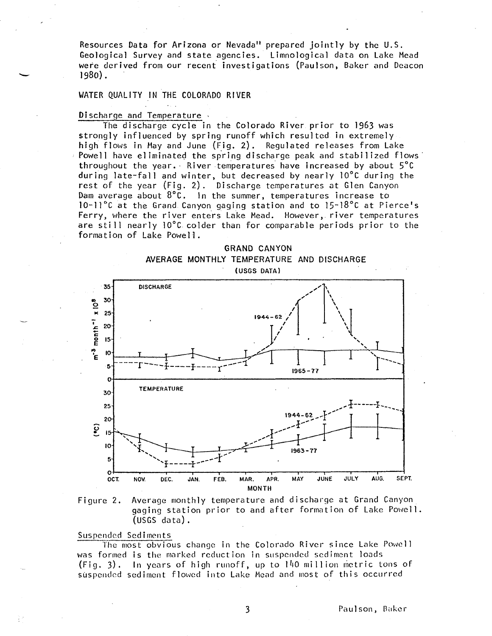**Resources Data for Arizona or Nevada" prepared jointly by the U.S. Geological Survey and state agencies. Limnologica l data on Lake Mead were derived from our recent investigation s (Paulson, Baker and Deacon 1980).**

#### WATER QUALITY IN THE COLORADO RIVER

#### Discharge and Temperature

The discharge cycle in the Colorado River prior to 1963 was strongly influenced by spring runoff which resulted in extremely high flows in May and June (Fig. 2). Regulated releases from Lake Powell have eliminated the spring discharge peak and stabilized flows throughout the year. River temperatures have increased by about 5°C during late-fall and winter, but decreased by nearly 10°C during the rest of the year (Fig. 2). Discharge temperatures at Glen Canyon Dam average about 8°C. In the summer, temperatures increase to 10-11°C at the Grand Canyon gaging station and to 15~l8°C at Pierce's Ferry, where the river enters Lake Mead. However, river temperatures are still nearly  $10^{\circ}$ C colder than for comparable periods prior to the formation of Lake Powell.





#### Suspended Sediments

The most obvious change in the Colorado River since Lake Powell was formed is the marked reduction in suspended sediment loads  $(Fig. 3)$ . In years of high runoff, up to  $140$  million metric tons of suspended sediment flowed into Lake Mead and most of this occurred

 $\overline{\mathbf{3}}$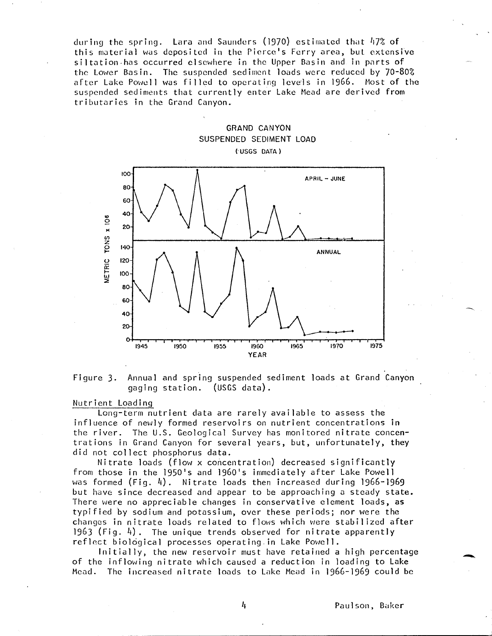during the spring. Lara and Saunders (1970) estimated that  $47\%$  of this material was deposited in the Piercc's Ferry area, but. extensive siltation has occurred elsewhere in the Upper Basin and in parts of the Lower Basin. The suspended sediment loads were reduced by 70-80% after Lake Powell was filled to operating levels in 1966. Most of the suspended sediments that currently enter Lake Mead are derived from tributaries in the Grand Canyon.



Figure 3. Annual and spring suspended sediment loads at Grand Canyon gaging station. (USGS data).

#### Nutrient Loading

Long-term nutrient data are rarely available to assess the influence of newly formed reservoirs on nutrient concentrations in the river. The U.S. Geological Survey has monitored nitrate concen trations in Grand Canyon for several years, but, unfortunately, they did not collect phosphorus data.

Nitrate loads (flow x concentration) decreased significantly from those in the 1950's and 1960's immediately after Lake Powell was formed  $(Fiq, 4)$ . Nitrate loads then increased during 1966-1969 but have since decreased and appear to be approaching a steady state. There were no appreciable changes in conservative element loads, **as** typified by sodium and potassium, over these periods; nor were the changes in nitrate loads related to flows which were stabilized after 1963 (Fig. 4). The unique trends observed for nitrate apparently reflect biological processes operating in Lake Powell.

Initially, the new reservoir must have retained a high percentage of the inflowing nitrate which caused a reduction in loading to Lake Mead. The increased nitrate loads to Lake Mead in 1966-1969 could be

4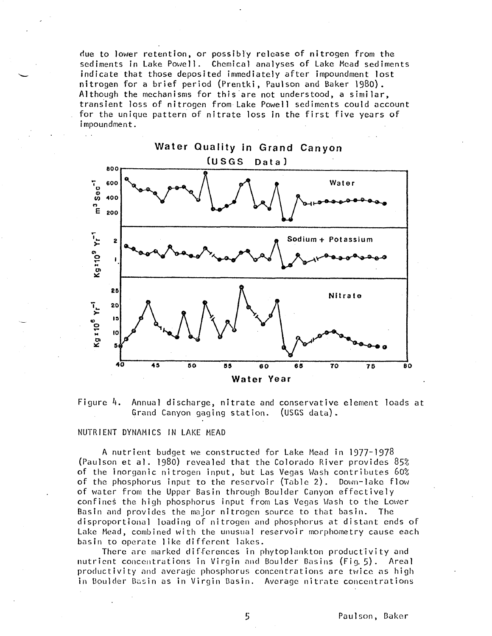due to lower retention, or possibly release of nitrogen from the sediments in Lake Powell. Chemical analyses of Lake Mead sediments indicate that those deposited immediately after impoundment lost nitrogen for a brief period (Prentki, Paulson and Baker 1980). Although the mechanisms for this are not understood, a similar, transient loss of nitrogen from Lake Powell sediments could account for the unique pattern of nitrate loss in the first five years of impoundment.





#### NUTRIENT DYNAMICS IN LAKE MEAD

A nutrient budget we constructed for Lake Mead in 1977~1978 (Paulson et al. 1980) revealed that the Colorado River provides 85% of the inorganic nitrogen input, but Las Vegas Wash contributes 60% of the phosphorus input to the reservoir (Table 2). Down-lake flow of water from the Upper Basin through Boulder Canyon effectively confines the high phosphorus input from Las Vegas Wash to the Lower Basin and provides the major nitrogen source to that basin. The disproportional loading of nitrogen and phosphorus at distant ends of Lake Mead, combined with the unusual reservoir morphometry cause each basin to operate like different lakes.

There are marked differences in phytoplankton productivity and nutrient concentrations in Virgin and Boulder Basins (Fig. 5). Areal productivity and average phosphorus concentrations are twice as high in Boulder Basin as in Virgin Basin. Average nitrate concentrations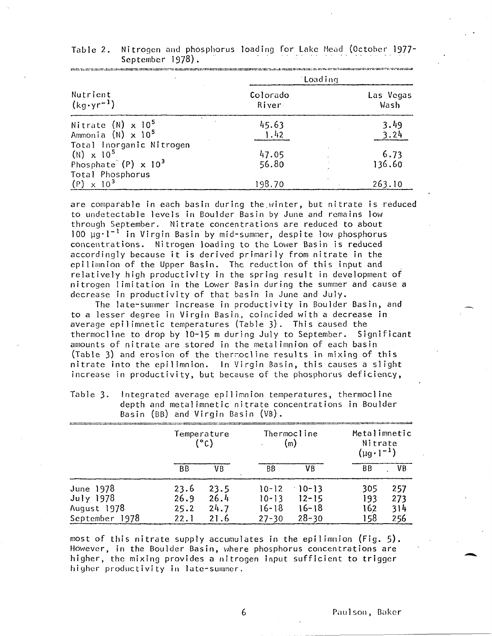|                                                                              | Loading            |                   |  |  |
|------------------------------------------------------------------------------|--------------------|-------------------|--|--|
| Nutrient<br>$(kq \cdot yr^{-1})$                                             | Colorado<br>River. | Las Vegas<br>Wash |  |  |
| Nitrate $(N) \times 10^5$<br>Ammonia $(N) \times 10^5$                       | 45.63<br>1.42      | 3.49<br>3.24      |  |  |
| Total Inorganic Nitrogen<br>$(N) \times 10^5$<br>Phosphate $(P) \times 10^3$ | 47.05<br>56.80     | 6.73<br>136.60    |  |  |
| Total Phosphorus<br>$\times$ 10 <sup>3</sup><br>(P)                          | 198.70             | 263.10            |  |  |

| Table 2. Nitrogen and phosphorus loading for Lake Mead (October 1977- |  |  |  |
|-----------------------------------------------------------------------|--|--|--|
| September 1978).                                                      |  |  |  |

are comparable in each basin during the.winter, but nitrate is reduced to undetectable levels in Boulder Basin by June and remains low through September. Nitrate concentrations are reduced to about  $100 \text{ u}g·l^{-1}$  in Virgin Basin by mid-summer, despite low phosphorus concentrations. Nitrogen loading to the Lower Basin is reduced accordingly because it is derived primarily from nitrate in the epilimnion of the Upper Basin. The reduction of this input and relatively high productivity in the spring result in development of nitrogen limitation in the Lower Basin during the summer and cause a decrease in productivity of that basin in June and July.

The late-summer increase in productivity in Boulder Basin, and to a lesser degree in Virgin Basin, coincided with a decrease in average epilimnetic temperatures (Table 3). This caused the thermocline to drop by  $10-15$  m during July to September. Significant amounts of nitrate are stored in the metalimnion of each basin (Table 3) and erosion of the therrocline results in mixing of this nitrate into the epilimnion. In Virgin Basin, this causes a slight increase in productivity, but because of the phosphorus deficiency,

| pasin (pp) GNU VILGIN pasin (VD). |              |                     |                        |                       |                                                   |            |  |
|-----------------------------------|--------------|---------------------|------------------------|-----------------------|---------------------------------------------------|------------|--|
|                                   |              | Temperature<br>(°C) |                        | Thermocline<br>(m)    | Metalimnetic<br>Nitrate<br>$(\mu g \cdot l^{-1})$ |            |  |
|                                   | BB.          | VB                  | BB.                    | VΒ                    | BB.                                               | VB         |  |
| June 1978<br>July $1978$          | 23.6<br>26.9 | 23.5<br>26.4        | $10 - 12$<br>$10 - 13$ | $-10-13$<br>$12 - 15$ | 305<br>193                                        | 257<br>273 |  |
| August 1978                       | 25.2         | 24.7                | 16-18                  | $16 - 18$             | 162                                               | 314        |  |
| September 1978                    | 22.I         | 21.6                | $27 - 30$              | $28 - 30$             | 158                                               | 256        |  |

Table 3. Integrated average epilimnion temperatures, thermocline depth and metalimnetic nitrate concentrations in Boulder Basin  $(RB)$  and Virgin Basin  $(NB)$ .

most of this nitrate supply accumulates in the epilimnion (Fig. 5). However, in the Boulder Basin, where phosphorus concentrations are higher, the mixing provides a nitrogen input sufficient to trigger higher productivity in late-summer.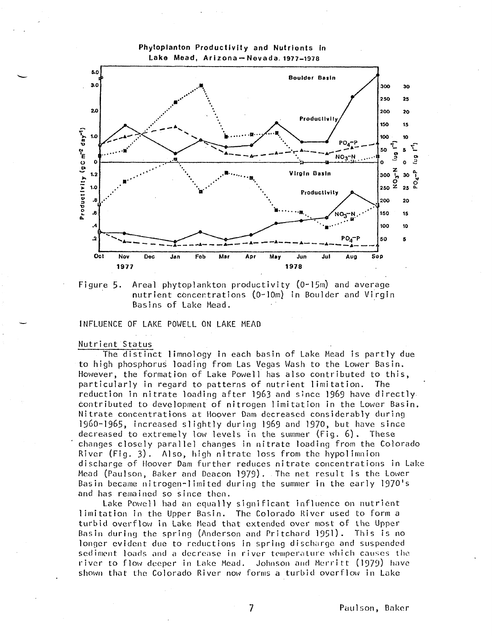



NCE OF LAKE POWELL ON LAKE MEAD

# Nutrient Status<br>The distin

and has remained so since the lake Powell had an equal discharge of noover Dam further reduces nitrate concentrations in L<br>Mead (Paulson, Baker and Deacon 1979). The net result is the Lower<br>Basin became nitrogen-limited during the summer in the early 1970's ead (Paulson, Baker and Deacon 1979). The net result is the<br>asin became nitrogen-limited during the summer in the early l changes closely parallel changes in nitrate loading from the<br>River (Fig. 3). Also, high nitrate loss from the hypolimnio<br>discharge of Hoover Dam further reduces nitrate concentratio decreased to extremely low levels in the summer (rig. o). These<br>
- changes closely parallel changes in nitrate loading from the Colorado<br>
River (Fig. 3). Also, high nitrate loss from the hypolimnion<br>
discharge of Hoover Da discharge of Hoover Dam further reduces nitrate concentrations in Lake a<br>t a<br>e a<br>I Nitrate concentrations at noover Dam decreased considerably during<br>1960–1965, increased slightly during 1969 and 1970, but have since<br>decreased to extremely low levels in the summer (Fig. 6). These 0-1965, increased slightly during 1969 and 1970, but have<br>reased to extremely low levels in the summer (Fig. 6). Th  $6^{\circ}$ -contributed to development of nitrogen limitation in the Lower<br>- Nitrate concentrations at Hoover Dam decreased considerably dur tributed to development of nitrogen limitation in the Lower Basin.<br>rate concentrations at Hoover Dam decreased considerably during particularly in regard to patterns of nutrient limitation. The<br>reduction in nitrate loading after 1963 and since 1969 have directly<br>contributed to development of nitrogen limitation in the Lower Basin<br>Nitrate concentration encier, the rermation of Eake remeir has also contributed to t<br>articularly in regard to patterns of nutrient limitation. The<br>eduction in nitrate loading after 1963 and since 1969 have dir to high phosphorus loading from Las Vegas Wash to the Lower Basin.<br>However, the formation of Lake Powell has also contributed to this, high phosphorus loading from Las Vegas Wash to the Lower Basin<br>wever, the formation of Lake Powell has also contributed to thi ent Status<br>The distinct limnology in each basin of Lake Mead is partly due

river to flow deeper in Lake Mead. Johnson and Merritt<br>shown that the Colorado River now forms a turbid overflow ver to flow deeper in Lake Mead. Johnson and Merritt (1979) have<br>nown that the Colorado River now forms a turbid overflow in Lake longer evident due to reductions in spring discharge and suspended<br>sediment loads and a decrease in river temperature which causes the longer evident due to reductions in spring discharge and suspended<br>sediment loads and a decrease in river temperature which causes the turbid overflow in Lake Mead that extended over most of the Upper<br>Basin during the spring (Anderson and Pritchard 1951). This is no bid overflow in Lake Mead that extended over most of the Upper<br>in during the spring (Anderson and Pritchard 1951). This is n limitation in the Upper Basin. The Colorado River used to form a<br>turbid overflow in Lake Mead that extended over most of the Upper<br>Basin during the spring (Anderson and Pritchard 1951). This is n as remained so since then.<br>Lake Powell had an equally significant influence on nutrient

Paulson, Baker

 $\overline{\mathcal{L}}$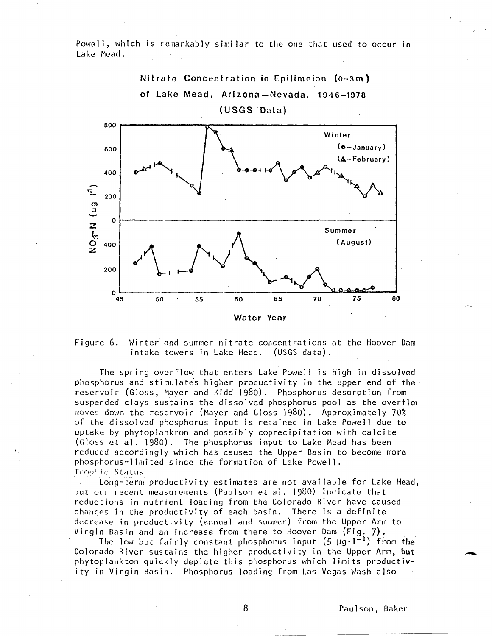Powell, which is remarkably similar to the one that used to occur in Lake Mead.



Figure 6. Winter and summer nitrate concentrations at the Hoover Dam intake towers in Lake Mead. (USGS data).

The spring overflow that enters Lake Powell is high in dissolved phosphorus and stimulates higher productivity in the upper end of the reservoir (Gloss, Mayer and Kidd I98o). Phosphorus desorption from suspended clays sustains the dissolved phosphorus pool as the overflow moves down the reservoir (Mayer and Gloss 1980) . Approximately 70% of the dissolved phosphorus input is retained in Lake Powell due to uptake by phytoplankton and possibly coprecipitat ion with calcite (Gloss et al. 1980). The phosphorus input to Lake Mead has been reduced accordingly which has caused the Upper Basin to become more phosphorus-limited since the formation of Lake Powell. Trophic Status

Long-term productivity estimates are not available for Lake Mead, but our recent measurements (Paulson et al. 1980) indicate that reductions in nutrient loading from the Colorado River have caused changes in the productivity of each basin. There is a definite decrease in productivity (annual and summer) from the Upper Arm to Virgin Basin and an increase from there to Hoover Dam (Fig. 7).

The low but fairly constant phosphorus input  $(5 \mu g \cdot l^{-1})$  from the Colorado River sustains the higher productivity in the Upper Arm, but phytoplankton quickly deplete this phosphorus which limits productivity in Virgin Basin. Phosphorus loading from Las Vegas Wash also

8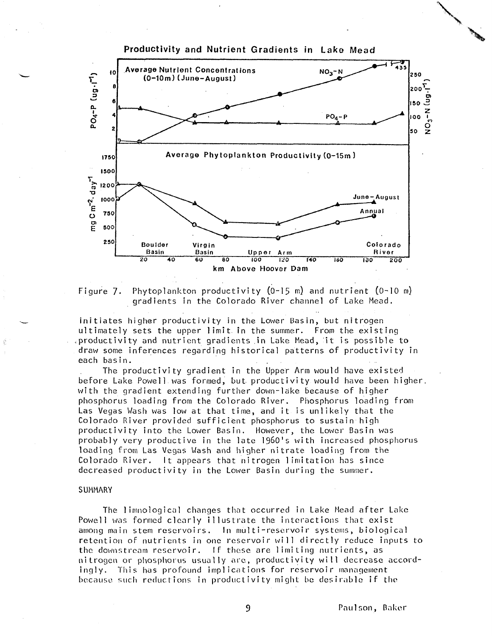

Figure 7. Phytoplankton productivity (Q-15 m) and nutrient (0-10 m) gradients in the Colorado River channel of Lake Mead.

initiates higher productivity in the Lower Basin, but nitrogen ultimately sets the upper limit in the summer. From the existing .productivity and nutrient gradients.in Lake Mead, it is possible to draw some inferences regarding historical patterns of productivity in each basin. .

The productivity gradient in the Upper Arm would have existed before Lake Powell was formed, but productivity would have been higher, with the gradient extending further down-lake because of higher phosphorus loading from the Colorado River. Phosphorus loading from Las Vegas Wash was low at that time, and it is unlikely that the Colorado River provided sufficient phosphorus to sustain high productivity into the Lower Basin. However, the Lower Basin was probably very productive in the late 1960's with increased phosphorus loading from Las Vegas Wash and higher nitrate loading From the Colorado River. It appears that nitrogen limitation has since decreased productivity in the Lower Basin during the summer.

#### SUMMARY

The limnological changes that occurred in Lake Mead after Lake Powell was formed clearly illustrate the interactions that exist among main stem reservoirs. In multi-reservoir systems, biological retention of nutrients in one reservoir will directly reduce inputs to the downstream reservoir. If these are limiting nutrients, as nitrogen or phosphorus usually are, productivity will decrease accordingly. This has profound implications for reservoir management because fuich reductions in productivity might be desirable if the

**Paulson, Baker**

9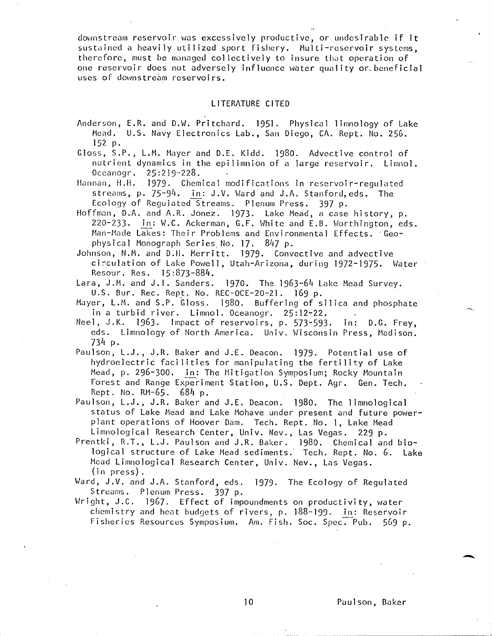downstream reservoir was excessively productive, or undesirable if it sustained a heavily utilized sport fishery. Multi-reservoir systems, therefore, must be managed collectively to insure that operation of one reservoir does not adversely influence water quality or beneficial uses of downstream reservoirs.

#### LITERATURE CITED

Anderson, E.R. and D.W. Pritchard. 1951. Physical limnology of Lake Mead. U.S. Navy Electronics Lab., San Diego, CA. Rept. No. 256. 152 p.

Gloss, S.P., L.M. Mayer and D.E. Kidd. 1980. Advective control of nutrient dynamics in the epilimnion of a large reservoir. Linmol. Oceanogr. 25:219-228.

Hannan, H.H. 1979- Chemical modifications in reservoir-regulated streams, p. 75-94. in: J.V. Ward and J.A. Stanford, eds. The Ecology of Regulated Streams. Plenum Press. 397 P-

Hoffman, D.A. and A.R. Jonez. 1973- Lake Mead, a case history, p. 220-233- In: W.C. Ackerman, G.F. White and E.B. Worthington, eds. Man-Made Lakes: Their Problems and Environmental Effects. 'Geo physical Monograph Series No. 17. 847 p.

Johnson, M.M. and D.H. Merritt. 1979- Convective and advective circulation of Lake Powell, Utah-Arizona, during 1972-1975. Water ' Resour. Res. 15:873-884.

- Lara, J.M. and J.I. Sanders. 1970. The 1963-64 Lake Mead Survey. U.S. Bur. Rec. Rept. No. REC-OCE-20-21. 169 p.
- Mayer, L.M. and S.P. Gloss. 1980. Buffering of silica and phosphate in a turbid river. Limnol. Oceanogr. 25:12-22.
- Neel, J.K. 1963. Impact of reservoirs, p. 573-593. in: D.G. Frey, eds. Limnology of North America. Univ. Wisconsin Press, Madison.  $734p.$
- Paulson, L.J., J.R. Baker and J.E. Deacon. 1979. Potential use of hydroelectric facilities for manipulating the fertility of Lake Mead, p. 296-300. in: The Mitigation Symposium; Rocky Mountain Forest and Range Experiment Station, U.S. Dept. Agr. Gen. Tech. Rept. No. RM-65. 684 p.
- Paulson, L.J., J.R. Baker and J.E. Deacon. 1980. The limnological status of Lake Mead and Lake Mohave under present and future powerplant operations of Hoover Dam. Tech. Rept. No. 1, Lake Mead Limnological Research Center, Univ. Nev., Las Vegas. 229 P.
- Prentki, R.T., L.J. Paulson and J.R. Baker. 1980. Chemical and biological structure of Lake Mead sediments. Tech. Rept. No. 6. Lake Mead Limnological Research Center, Univ. Nev., Las Vegas.  $(in \, press)$ .
- Ward, J.V. and J.A. Stanford, eds. 1979. The Ecology of Regulated Streams. Plenum Press. 397 p.
- Wright, J.C. 1967. Effect of impoundments on productivity, water chemistry and heat budgets of rivers, p. 188-199. in: Reservoir Fisheries Resources Symposium. Am. Fish. Soc. Spec. Pub. 569 p.